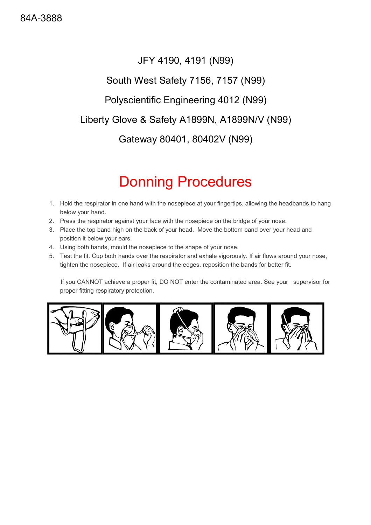### JFY 4190, 4191 (N99)

#### South West Safety 7156, 7157 (N99)

#### Polyscientific Engineering 4012 (N99)

#### Liberty Glove & Safety A1899N, A1899N/V (N99)

Gateway 80401, 80402V (N99)

# Donning Procedures

- 1. Hold the respirator in one hand with the nosepiece at your fingertips, allowing the headbands to hang below your hand.
- 2. Press the respirator against your face with the nosepiece on the bridge of your nose.
- 3. Place the top band high on the back of your head. Move the bottom band over your head and position it below your ears.
- 4. Using both hands, mould the nosepiece to the shape of your nose.
- 5. Test the fit. Cup both hands over the respirator and exhale vigorously. If air flows around your nose, tighten the nosepiece. If air leaks around the edges, reposition the bands for better fit.

 If you CANNOT achieve a proper fit, DO NOT enter the contaminated area. See your supervisor for proper fitting respiratory protection.